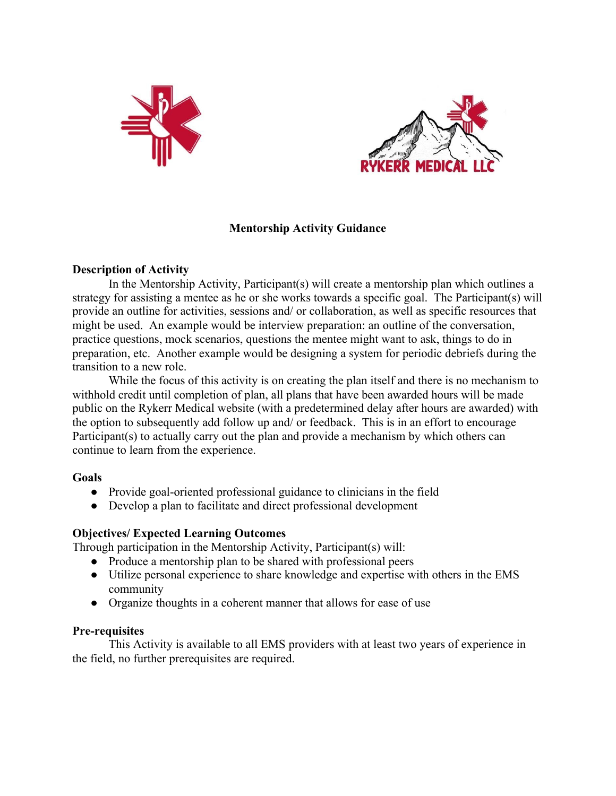



# **Mentorship Activity Guidance**

## **Description of Activity**

In the Mentorship Activity, Participant(s) will create a mentorship plan which outlines a strategy for assisting a mentee as he or she works towards a specific goal. The Participant(s) will provide an outline for activities, sessions and/ or collaboration, as well as specific resources that might be used. An example would be interview preparation: an outline of the conversation, practice questions, mock scenarios, questions the mentee might want to ask, things to do in preparation, etc. Another example would be designing a system for periodic debriefs during the transition to a new role.

While the focus of this activity is on creating the plan itself and there is no mechanism to withhold credit until completion of plan, all plans that have been awarded hours will be made public on the Rykerr Medical website (with a predetermined delay after hours are awarded) with the option to subsequently add follow up and/ or feedback. This is in an effort to encourage Participant(s) to actually carry out the plan and provide a mechanism by which others can continue to learn from the experience.

## **Goals**

- Provide goal-oriented professional guidance to clinicians in the field
- Develop a plan to facilitate and direct professional development

# **Objectives/ Expected Learning Outcomes**

Through participation in the Mentorship Activity, Participant(s) will:

- **●** Produce a mentorship plan to be shared with professional peers
- **●** Utilize personal experience to share knowledge and expertise with others in the EMS community
- **●** Organize thoughts in a coherent manner that allows for ease of use

## **Pre-requisites**

This Activity is available to all EMS providers with at least two years of experience in the field, no further prerequisites are required.